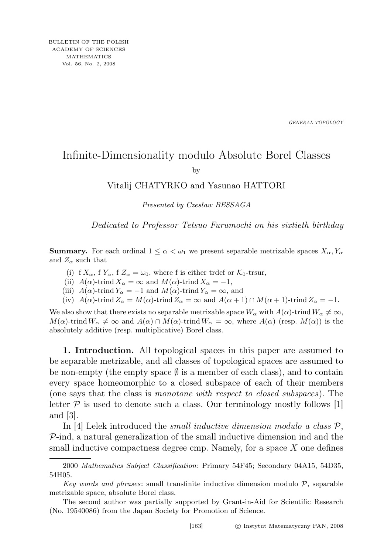*GENERAL TOPOLOGY*

## Infinite-Dimensionality modulo Absolute Borel Classes

by

## Vitalij CHATYRKO and Yasunao HATTORI

Presented by Czesław BESSAGA

Dedicated to Professor Tetsuo Furumochi on his sixtieth birthday

**Summary.** For each ordinal  $1 \leq \alpha < \omega_1$  we present separable metrizable spaces  $X_\alpha, Y_\alpha$ and  $Z_{\alpha}$  such that

- (i) f  $X_{\alpha}$ , f  $Y_{\alpha}$ , f  $Z_{\alpha} = \omega_0$ , where f is either trdef or  $\mathcal{K}_0$ -trsur,
- (ii)  $A(\alpha)$ -trind  $X_{\alpha} = \infty$  and  $M(\alpha)$ -trind  $X_{\alpha} = -1$ ,
- (iii)  $A(\alpha)$ -trind  $Y_{\alpha} = -1$  and  $M(\alpha)$ -trind  $Y_{\alpha} = \infty$ , and
- (iv)  $A(\alpha)$ -trind  $Z_{\alpha} = M(\alpha)$ -trind  $Z_{\alpha} = \infty$  and  $A(\alpha + 1) \cap M(\alpha + 1)$ -trind  $Z_{\alpha} = -1$ .

We also show that there exists no separable metrizable space  $W_{\alpha}$  with  $A(\alpha)$ -trind  $W_{\alpha} \neq \infty$ ,  $M(\alpha)$ -trind  $W_{\alpha} \neq \infty$  and  $A(\alpha) \cap M(\alpha)$ -trind  $W_{\alpha} = \infty$ , where  $A(\alpha)$  (resp.  $M(\alpha)$ ) is the absolutely additive (resp. multiplicative) Borel class.

1. Introduction. All topological spaces in this paper are assumed to be separable metrizable, and all classes of topological spaces are assumed to be non-empty (the empty space  $\emptyset$  is a member of each class), and to contain every space homeomorphic to a closed subspace of each of their members (one says that the class is monotone with respect to closed subspaces). The letter  $P$  is used to denote such a class. Our terminology mostly follows  $[1]$ and [3].

In [4] Lelek introduced the *small inductive dimension modulo a class*  $P$ ,  $P$ -ind, a natural generalization of the small inductive dimension ind and the small inductive compactness degree cmp. Namely, for a space  $X$  one defines

<sup>2000</sup> Mathematics Subject Classification: Primary 54F45; Secondary 04A15, 54D35, 54H05.

Key words and phrases: small transfinite inductive dimension modulo  $P$ , separable metrizable space, absolute Borel class.

The second author was partially supported by Grant-in-Aid for Scientific Research (No. 19540086) from the Japan Society for Promotion of Science.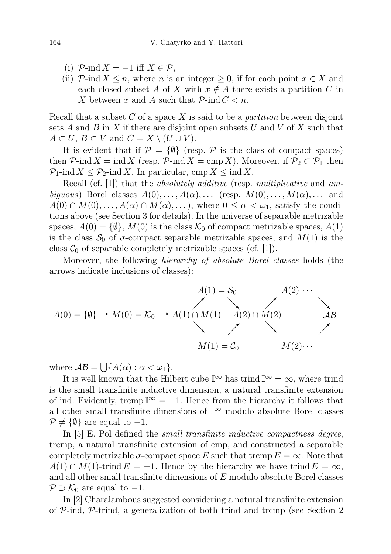- (i)  $\mathcal{P}\text{-}\mathrm{ind}\,X = -1$  iff  $X \in \mathcal{P}$ ,
- (ii)  $\mathcal{P}$ -ind  $X \leq n$ , where n is an integer  $\geq 0$ , if for each point  $x \in X$  and each closed subset A of X with  $x \notin A$  there exists a partition C in X between x and A such that  $P$ -ind  $C < n$ .

Recall that a subset C of a space X is said to be a *partition* between disjoint sets A and B in X if there are disjoint open subsets U and V of X such that  $A \subset U, B \subset V$  and  $C = X \setminus (U \cup V)$ .

It is evident that if  $\mathcal{P} = \{\emptyset\}$  (resp.  $\mathcal P$  is the class of compact spaces) then  $\mathcal{P}$ -ind  $X = \text{ind } X$  (resp.  $\mathcal{P}$ -ind  $X = \text{cmp } X$ ). Moreover, if  $\mathcal{P}_2 \subset \mathcal{P}_1$  then  $\mathcal{P}_1$ -ind  $X \leq \mathcal{P}_2$ -ind X. In particular, cmp  $X \leq \text{ind } X$ .

Recall (cf. [1]) that the *absolutely additive* (resp. multiplicative and ambiguous) Borel classes  $A(0), \ldots, A(\alpha), \ldots$  (resp.  $M(0), \ldots, M(\alpha), \ldots$  and  $A(0) \cap M(0), \ldots, A(\alpha) \cap M(\alpha), \ldots$ , where  $0 \leq \alpha < \omega_1$ , satisfy the conditions above (see Section 3 for details). In the universe of separable metrizable spaces,  $A(0) = \{\emptyset\}, M(0)$  is the class  $\mathcal{K}_0$  of compact metrizable spaces,  $A(1)$ is the class  $S_0$  of  $\sigma$ -compact separable metrizable spaces, and  $M(1)$  is the class  $C_0$  of separable completely metrizable spaces (cf. [1]).

Moreover, the following hierarchy of absolute Borel classes holds (the arrows indicate inclusions of classes):

$$
A(1) = S_0
$$
  
\n
$$
A(2) \cdots
$$
  
\n
$$
A(0) = \{\emptyset\} \rightarrow M(0) = K_0 \rightarrow A(1) \cap M(1)
$$
  
\n
$$
A(2) \cap M(2)
$$
  
\n
$$
M(1) = C_0
$$
  
\n
$$
M(2) \cdots
$$
  
\n
$$
M(2) \cdots
$$

where  $\mathcal{AB} = \bigcup \{A(\alpha) : \alpha < \omega_1\}.$ 

It is well known that the Hilbert cube  $\mathbb{I}^{\infty}$  has trind  $\mathbb{I}^{\infty} = \infty$ , where trind is the small transfinite inductive dimension, a natural transfinite extension of ind. Evidently, trcmp  $\mathbb{I}^{\infty} = -1$ . Hence from the hierarchy it follows that all other small transfinite dimensions of  $\mathbb{I}^{\infty}$  modulo absolute Borel classes  $\mathcal{P} \neq \{\emptyset\}$  are equal to  $-1$ .

In [5] E. Pol defined the *small transfinite inductive compactness degree,* trcmp, a natural transfinite extension of cmp, and constructed a separable completely metrizable  $\sigma$ -compact space E such that trcmp  $E = \infty$ . Note that  $A(1) \cap M(1)$ -trind  $E = -1$ . Hence by the hierarchy we have trind  $E = \infty$ , and all other small transfinite dimensions of E modulo absolute Borel classes  $P \supset \mathcal{K}_0$  are equal to  $-1$ .

In [2] Charalambous suggested considering a natural transfinite extension of P-ind, P-trind, a generalization of both trind and trcmp (see Section 2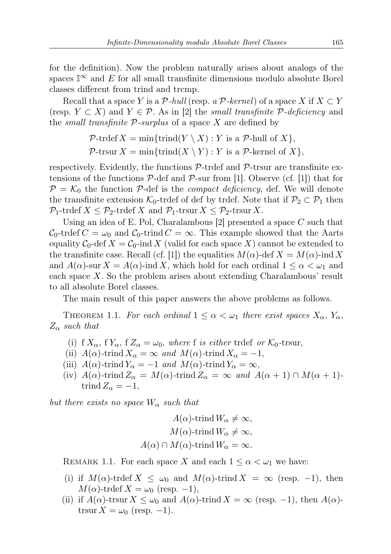for the definition). Now the problem naturally arises about analogs of the spaces  $\mathbb{I}^{\infty}$  and E for all small transfinite dimensions modulo absolute Borel classes different from trind and trcmp.

Recall that a space Y is a P-hull (resp. a P-kernel) of a space X if  $X \subset Y$ (resp.  $Y \subset X$ ) and  $Y \in \mathcal{P}$ . As in [2] the *small transfinite*  $\mathcal{P}\text{-}deficiency$  and the *small transfinite*  $P$ -surplus of a space X are defined by

> $\mathcal{P}\text{-trdef } X = \min\{\text{trind}(Y \setminus X) : Y \text{ is a } \mathcal{P}\text{-hull of } X\},\$  $\mathcal{P}\text{-}trsur X = \min\{\text{trind}(X \setminus Y) : Y \text{ is a } \mathcal{P}\text{-}kernel of X\},\$

respectively. Evidently, the functions  $P$ -trdef and  $P$ -trsur are transfinite extensions of the functions  $P$ -def and  $P$ -sur from [1]. Observe (cf. [1]) that for  $P = \mathcal{K}_0$  the function P-def is the *compact deficiency*, def. We will denote the transfinite extension  $\mathcal{K}_0$ -trdef of def by trdef. Note that if  $\mathcal{P}_2 \subset \mathcal{P}_1$  then  $\mathcal{P}_1$ -trdef  $X \leq \mathcal{P}_2$ -trdef X and  $\mathcal{P}_1$ -trsur  $X \leq \mathcal{P}_2$ -trsur X.

Using an idea of E. Pol, Charalambous [2] presented a space C such that  $C_0$ -trdef  $C = \omega_0$  and  $C_0$ -trind  $C = \infty$ . This example showed that the Aarts equality  $C_0$ -def  $X = C_0$ -ind X (valid for each space X) cannot be extended to the transfinite case. Recall (cf. [1]) the equalities  $M(\alpha)$ -def  $X = M(\alpha)$ -ind X and  $A(\alpha)$ -sur  $X = A(\alpha)$ -ind X, which hold for each ordinal  $1 \leq \alpha < \omega_1$  and each space X. So the problem arises about extending Charalambous' result to all absolute Borel classes.

The main result of this paper answers the above problems as follows.

THEOREM 1.1. For each ordinal  $1 \leq \alpha < \omega_1$  there exist spaces  $X_{\alpha}$ ,  $Y_{\alpha}$ ,  $Z_{\alpha}$  such that

- (i) f  $X_{\alpha}$ , f  $Y_{\alpha}$ , f  $Z_{\alpha} = \omega_0$ , where f is either trdef or  $\mathcal{K}_0$ -trsur,
- (ii)  $A(\alpha)$ -trind  $X_{\alpha} = \infty$  and  $M(\alpha)$ -trind  $X_{\alpha} = -1$ ,
- (iii)  $A(\alpha)$ -trind  $Y_{\alpha} = -1$  and  $M(\alpha)$ -trind  $Y_{\alpha} = \infty$ ,
- (iv)  $A(\alpha)$ -trind  $Z_{\alpha} = M(\alpha)$ -trind  $Z_{\alpha} = \infty$  and  $A(\alpha + 1) \cap M(\alpha + 1)$ trind  $Z_{\alpha} = -1$ ,

but there exists no space  $W_{\alpha}$  such that

$$
A(\alpha)\text{-trind }W_{\alpha}\neq\infty,
$$
  

$$
M(\alpha)\text{-trind }W_{\alpha}\neq\infty,
$$
  

$$
A(\alpha)\cap M(\alpha)\text{-trind }W_{\alpha}=\infty.
$$

REMARK 1.1. For each space X and each  $1 \leq \alpha < \omega_1$  we have:

- (i) if  $M(\alpha)$ -trdef  $X \leq \omega_0$  and  $M(\alpha)$ -trind  $X = \infty$  (resp. -1), then  $M(\alpha)$ -trdef  $X = \omega_0$  (resp. -1),
- (ii) if  $A(\alpha)$ -trsur  $X \leq \omega_0$  and  $A(\alpha)$ -trind  $X = \infty$  (resp. -1), then  $A(\alpha)$ trsur  $X = \omega_0$  (resp. -1).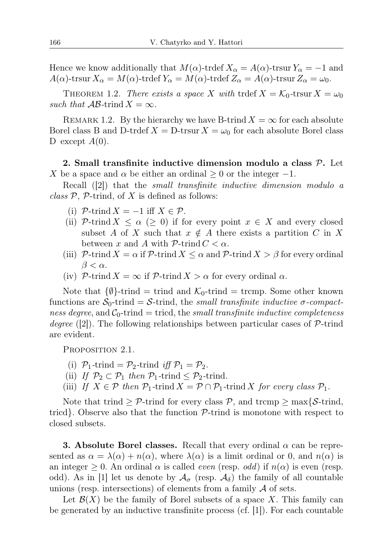Hence we know additionally that  $M(\alpha)$ -trdef  $X_{\alpha} = A(\alpha)$ -trsur  $Y_{\alpha} = -1$  and  $A(\alpha)$ -trsur  $X_{\alpha} = M(\alpha)$ -trdef  $Y_{\alpha} = M(\alpha)$ -trdef  $Z_{\alpha} = A(\alpha)$ -trsur  $Z_{\alpha} = \omega_0$ .

THEOREM 1.2. There exists a space X with trdef  $X = \mathcal{K}_0$ -trsur  $X = \omega_0$ such that  $\mathcal{AB}$ -trind  $X = \infty$ .

REMARK 1.2. By the hierarchy we have B-trind  $X = \infty$  for each absolute Borel class B and D-trdef  $X = D$ -trsur  $X = \omega_0$  for each absolute Borel class D except  $A(0)$ .

2. Small transfinite inductive dimension modulo a class  $P$ . Let X be a space and  $\alpha$  be either an ordinal  $\geq 0$  or the integer -1.

Recall ([2]) that the small transfinite inductive dimension modulo a class  $P$ ,  $P$ -trind, of X is defined as follows:

- (i)  $\mathcal{P}\text{-trind }X = -1$  iff  $X \in \mathcal{P}$ .
- (ii) P-trind  $X \leq \alpha$  ( $\geq 0$ ) if for every point  $x \in X$  and every closed subset A of X such that  $x \notin A$  there exists a partition C in X between x and A with  $P\text{-trind }C < \alpha$ .
- (iii) P-trind  $X = \alpha$  if P-trind  $X \leq \alpha$  and P-trind  $X > \beta$  for every ordinal  $\beta < \alpha$ .
- (iv) P-trind  $X = \infty$  if P-trind  $X > \alpha$  for every ordinal  $\alpha$ .

Note that  $\{\emptyset\}$ -trind = trind and  $\mathcal{K}_0$ -trind = tremp. Some other known functions are  $S_0$ -trind = S-trind, the *small transfinite inductive*  $\sigma$ -compactness degree, and  $C_0$ -trind = tricd, the small transfinite inductive completeness degree  $(2)$ . The following relationships between particular cases of P-trind are evident.

PROPOSITION 2.1.

- (i)  $\mathcal{P}_1$ -trind =  $\mathcal{P}_2$ -trind *iff*  $\mathcal{P}_1 = \mathcal{P}_2$ .
- (ii) If  $\mathcal{P}_2 \subset \mathcal{P}_1$  then  $\mathcal{P}_1$ -trind  $\leq \mathcal{P}_2$ -trind.
- (iii) If  $X \in \mathcal{P}$  then  $\mathcal{P}_1$ -trind  $X = \mathcal{P} \cap \mathcal{P}_1$ -trind X for every class  $\mathcal{P}_1$ .

Note that trind  $\geq \mathcal{P}$ -trind for every class  $\mathcal{P}$ , and trcmp  $\geq$  max{ $\mathcal{S}$ -trind, tricd}. Observe also that the function  $P$ -trind is monotone with respect to closed subsets.

**3.** Absolute Borel classes. Recall that every ordinal  $\alpha$  can be represented as  $\alpha = \lambda(\alpha) + n(\alpha)$ , where  $\lambda(\alpha)$  is a limit ordinal or 0, and  $n(\alpha)$  is an integer  $\geq 0$ . An ordinal  $\alpha$  is called *even* (resp. *odd*) if  $n(\alpha)$  is even (resp. odd). As in [1] let us denote by  $\mathcal{A}_{\sigma}$  (resp.  $\mathcal{A}_{\delta}$ ) the family of all countable unions (resp. intersections) of elements from a family  $A$  of sets.

Let  $\mathcal{B}(X)$  be the family of Borel subsets of a space X. This family can be generated by an inductive transfinite process  $(cf. |1|)$ . For each countable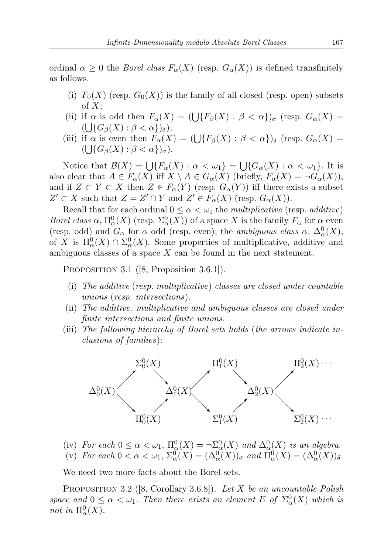ordinal  $\alpha \geq 0$  the *Borel class*  $F_{\alpha}(X)$  (resp.  $G_{\alpha}(X)$ ) is defined transfinitely as follows.

- (i)  $F_0(X)$  (resp.  $G_0(X)$ ) is the family of all closed (resp. open) subsets of  $X$ ;
- (ii) if  $\alpha$  is odd then  $F_{\alpha}(X) = (\bigcup \{ F_{\beta}(X) : \beta < \alpha \})_{\sigma}$  (resp.  $G_{\alpha}(X) =$  $(\bigcup \{ G_{\beta}(X) : \beta < \alpha \})_{\delta});$
- (iii) if  $\alpha$  is even then  $F_{\alpha}(X) = (\bigcup \{ F_{\beta}(X) : \beta < \alpha \})_{\delta}$  (resp.  $G_{\alpha}(X) =$  $(\bigcup \{ G_{\beta}(X) : \beta < \alpha \})_{\sigma}).$

Notice that  $\mathcal{B}(X) = \bigcup \{ F_\alpha(X) : \alpha < \omega_1 \} = \bigcup \{ G_\alpha(X) : \alpha < \omega_1 \}.$  It is also clear that  $A \in F_{\alpha}(X)$  iff  $X \setminus A \in G_{\alpha}(X)$  (briefly,  $F_{\alpha}(X) = \neg G_{\alpha}(X)$ ), and if  $Z \subset Y \subset X$  then  $Z \in F_\alpha(Y)$  (resp.  $G_\alpha(Y)$ ) iff there exists a subset  $Z' \subset X$  such that  $Z = Z' \cap Y$  and  $Z' \in F_{\alpha}(X)$  (resp.  $G_{\alpha}(X)$ ).

Recall that for each ordinal  $0 \leq \alpha < \omega_1$  the *multiplicative* (resp. *additive*) Borel class  $\alpha$ ,  $\Pi_{\alpha}^{0}(X)$  (resp.  $\Sigma_{\alpha}^{0}(X)$ ) of a space X is the family  $F_{\alpha}$  for  $\alpha$  even (resp. odd) and  $G_{\alpha}$  for  $\alpha$  odd (resp. even); the *ambiguous class*  $\alpha$ ,  $\Delta_{\alpha}^{0}(X)$ , of X is  $\Pi_{\alpha}^{0}(X) \cap \Sigma_{\alpha}^{0}(X)$ . Some properties of multiplicative, additive and ambiguous classes of a space  $X$  can be found in the next statement.

PROPOSITION 3.1 (8, Proposition 3.6.1).

- (i) The additive (resp. multiplicative) classes are closed under countable unions (resp. intersections).
- (ii) The additive, multiplicative and ambiguous classes are closed under finite intersections and finite unions.
- (iii) The following hierarchy of Borel sets holds (the arrows indicate inclusions of families):



- (iv) For each  $0 \leq \alpha < \omega_1$ ,  $\Pi_{\alpha}^0(X) = \neg \Sigma_{\alpha}^0(X)$  and  $\Delta_{\alpha}^0(X)$  is an algebra.
- (v) For each  $0 < \alpha < \omega_1$ ,  $\Sigma^0_{\alpha}(X) = (\Delta^0_{\alpha}(X))_{\sigma}$  and  $\Pi^0_{\alpha}(X) = (\Delta^0_{\alpha}(X))_{\delta}$ .

We need two more facts about the Borel sets.

PROPOSITION 3.2 ([8, Corollary 3.6.8]). Let X be an uncountable Polish space and  $0 \leq \alpha < \omega_1$ . Then there exists an element E of  $\Sigma^0_\alpha(X)$  which is not in  $\Pi^0_\alpha(X)$ .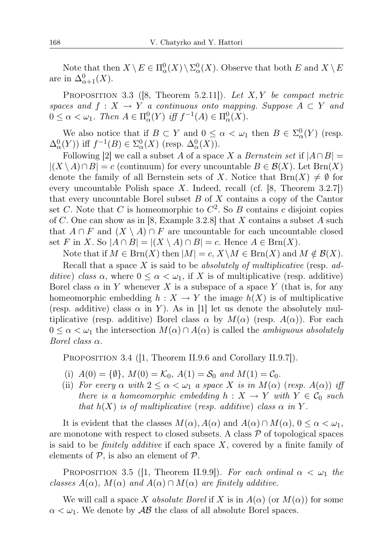Note that then  $X \setminus E \in \Pi^0_\alpha(X) \setminus \Sigma^0_\alpha(X)$ . Observe that both E and  $X \setminus E$ are in  $\Delta_{\alpha+1}^0(X)$ .

PROPOSITION 3.3 ([8, Theorem 5.2.11]). Let  $X, Y$  be compact metric spaces and  $f: X \to Y$  a continuous onto mapping. Suppose  $A \subset Y$  and  $0 \leq \alpha < \omega_1$ . Then  $A \in \Pi^0_\alpha(Y)$  iff  $f^{-1}(A) \in \Pi^0_\alpha(X)$ .

We also notice that if  $B \subset Y$  and  $0 \leq \alpha < \omega_1$  then  $B \in \Sigma^0_\alpha(Y)$  (resp.  $\Delta_{\alpha}^{0}(Y)$  iff  $f^{-1}(B) \in \Sigma_{\alpha}^{0}(X)$  (resp.  $\Delta_{\alpha}^{0}(X)$ ).

Following [2] we call a subset A of a space X a Bernstein set if  $|A \cap B|$  =  $|(X \setminus A) \cap B| = c$  (continuum) for every uncountable  $B \in \mathcal{B}(X)$ . Let  $\text{Brn}(X)$ denote the family of all Bernstein sets of X. Notice that  $\text{Brn}(X) \neq \emptyset$  for every uncountable Polish space X. Indeed, recall (cf.  $[8,$  Theorem 3.2.7]) that every uncountable Borel subset  $B$  of  $X$  contains a copy of the Cantor set C. Note that C is homeomorphic to  $C^2$ . So B contains c disjoint copies of C. One can show as in [8, Example 3.2.8] that X contains a subset A such that  $A \cap F$  and  $(X \setminus A) \cap F$  are uncountable for each uncountable closed set F in X. So  $|A \cap B| = |(X \setminus A) \cap B| = c$ . Hence  $A \in \text{Brn}(X)$ .

Note that if  $M \in \text{Brn}(X)$  then  $|M| = c, X \setminus M \in \text{Brn}(X)$  and  $M \notin \mathcal{B}(X)$ .

Recall that a space  $X$  is said to be *absolutely of multiplicative* (resp.  $ad$ ditive) class  $\alpha$ , where  $0 \leq \alpha < \omega_1$ , if X is of multiplicative (resp. additive) Borel class  $\alpha$  in Y whenever X is a subspace of a space Y (that is, for any homeomorphic embedding  $h : X \to Y$  the image  $h(X)$  is of multiplicative (resp. additive) class  $\alpha$  in Y). As in [1] let us denote the absolutely multiplicative (resp. additive) Borel class  $\alpha$  by  $M(\alpha)$  (resp.  $A(\alpha)$ ). For each  $0 \leq \alpha < \omega_1$  the intersection  $M(\alpha) \cap A(\alpha)$  is called the *ambiguous absolutely* Borel class  $\alpha$ .

PROPOSITION 3.4 (1, Theorem II.9.6 and Corollary II.9.7).

- (i)  $A(0) = \{\emptyset\}, M(0) = \mathcal{K}_0, A(1) = \mathcal{S}_0 \text{ and } M(1) = \mathcal{C}_0.$
- (ii) For every  $\alpha$  with  $2 \leq \alpha < \omega_1$  a space X is in  $M(\alpha)$  (resp.  $A(\alpha)$ ) iff there is a homeomorphic embedding  $h: X \to Y$  with  $Y \in \mathcal{C}_0$  such that  $h(X)$  is of multiplicative (resp. additive) class  $\alpha$  in Y.

It is evident that the classes  $M(\alpha)$ ,  $A(\alpha)$  and  $A(\alpha) \cap M(\alpha)$ ,  $0 \leq \alpha < \omega_1$ , are monotone with respect to closed subsets. A class  $P$  of topological spaces is said to be *finitely additive* if each space  $X$ , covered by a finite family of elements of  $P$ , is also an element of  $P$ .

PROPOSITION 3.5 ([1, Theorem II.9.9]). For each ordinal  $\alpha < \omega_1$  the classes  $A(\alpha)$ ,  $M(\alpha)$  and  $A(\alpha) \cap M(\alpha)$  are finitely additive.

We will call a space X absolute Borel if X is in  $A(\alpha)$  (or  $M(\alpha)$ ) for some  $\alpha < \omega_1$ . We denote by  $\mathcal{AB}$  the class of all absolute Borel spaces.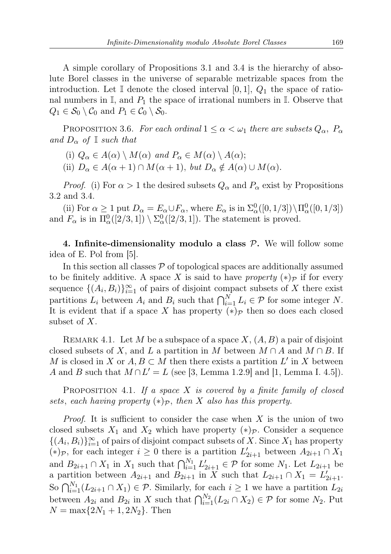A simple corollary of Propositions 3.1 and 3.4 is the hierarchy of absolute Borel classes in the universe of separable metrizable spaces from the introduction. Let I denote the closed interval [0, 1],  $Q_1$  the space of rational numbers in  $\mathbb{I}$ , and  $P_1$  the space of irrational numbers in  $\mathbb{I}$ . Observe that  $Q_1 \in \mathcal{S}_0 \setminus \mathcal{C}_0$  and  $P_1 \in \mathcal{C}_0 \setminus \mathcal{S}_0$ .

PROPOSITION 3.6. For each ordinal  $1 \leq \alpha < \omega_1$  there are subsets  $Q_{\alpha}$ ,  $P_{\alpha}$ and  $D_{\alpha}$  of I such that

- (i)  $Q_{\alpha} \in A(\alpha) \setminus M(\alpha)$  and  $P_{\alpha} \in M(\alpha) \setminus A(\alpha);$
- (ii)  $D_{\alpha} \in A(\alpha + 1) \cap M(\alpha + 1)$ , but  $D_{\alpha} \notin A(\alpha) \cup M(\alpha)$ .

*Proof.* (i) For  $\alpha > 1$  the desired subsets  $Q_{\alpha}$  and  $P_{\alpha}$  exist by Propositions 3.2 and 3.4.

(ii) For  $\alpha \ge 1$  put  $D_{\alpha} = E_{\alpha} \cup F_{\alpha}$ , where  $E_{\alpha}$  is in  $\Sigma_{\alpha}^{0}([0, 1/3]) \setminus \Pi_{\alpha}^{0}([0, 1/3])$ and  $F_{\alpha}$  is in  $\Pi_{\alpha}^{0}([2/3,1]) \setminus \Sigma_{\alpha}^{0}([2/3,1])$ . The statement is proved.

4. Infinite-dimensionality modulo a class  $P$ . We will follow some idea of E. Pol from [5].

In this section all classes  $P$  of topological spaces are additionally assumed to be finitely additive. A space X is said to have property  $(*)_{\mathcal{P}}$  if for every sequence  $\{(A_i, B_i)\}_{i=1}^{\infty}$  of pairs of disjoint compact subsets of X there exist partitions  $L_i$  between  $A_i$  and  $B_i$  such that  $\bigcap_{i=1}^N L_i \in \mathcal{P}$  for some integer N. It is evident that if a space X has property  $(*)_{\mathcal{P}}$  then so does each closed subset of X.

REMARK 4.1. Let M be a subspace of a space X,  $(A, B)$  a pair of disjoint closed subsets of X, and L a partition in M between  $M \cap A$  and  $M \cap B$ . If M is closed in X or  $A, B \subset M$  then there exists a partition L' in X between A and B such that  $M \cap L' = L$  (see [3, Lemma 1.2.9] and [1, Lemma I. 4.5]).

PROPOSITION 4.1. If a space  $X$  is covered by a finite family of closed sets, each having property  $(*)_{\mathcal{P}}$ , then X also has this property.

*Proof.* It is sufficient to consider the case when  $X$  is the union of two closed subsets  $X_1$  and  $X_2$  which have property  $(*)_\mathcal{P}$ . Consider a sequence  $\{(A_i, B_i)\}_{i=1}^{\infty}$  of pairs of disjoint compact subsets of X. Since  $X_1$  has property (\*) $\varphi$ , for each integer  $i \geq 0$  there is a partition  $L'_{2i+1}$  between  $A_{2i+1} \cap X_1$ and  $B_{2i+1} \cap X_1$  in  $X_1$  such that  $\bigcap_{i=1}^{N_1} L'_{2i+1} \in \mathcal{P}$  for some  $N_1$ . Let  $L_{2i+1}$  be a partition between  $A_{2i+1}$  and  $B_{2i+1}$  in X such that  $L_{2i+1} \cap X_1 = L'_{2i+1}$ . So  $\bigcap_{i=1}^{N_1} (L_{2i+1} \cap X_1) \in \mathcal{P}$ . Similarly, for each  $i \geq 1$  we have a partition  $L_{2i}$ between  $A_{2i}$  and  $B_{2i}$  in X such that  $\bigcap_{i=1}^{N_2} (L_{2i} \cap X_2) \in \mathcal{P}$  for some  $N_2$ . Put  $N = \max\{2N_1 + 1, 2N_2\}$ . Then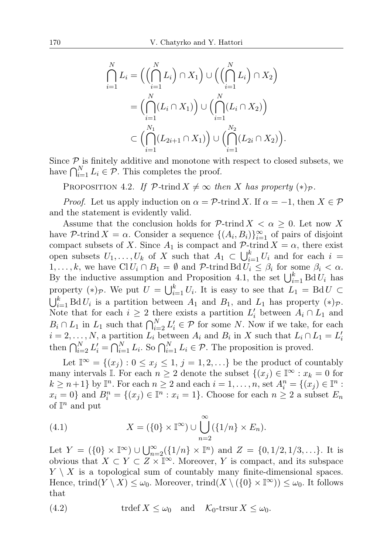$$
\bigcap_{i=1}^{N} L_i = \left( \left( \bigcap_{i=1}^{N} L_i \right) \cap X_1 \right) \cup \left( \left( \bigcap_{i=1}^{N} L_i \right) \cap X_2 \right)
$$
\n
$$
= \left( \bigcap_{i=1}^{N} (L_i \cap X_1) \right) \cup \left( \bigcap_{i=1}^{N} (L_i \cap X_2) \right)
$$
\n
$$
\subset \left( \bigcap_{i=1}^{N_1} (L_{2i+1} \cap X_1) \right) \cup \left( \bigcap_{i=1}^{N_2} (L_{2i} \cap X_2) \right).
$$

Since  $P$  is finitely additive and monotone with respect to closed subsets, we have  $\bigcap_{i=1}^{N} L_i \in \mathcal{P}$ . This completes the proof.

PROPOSITION 4.2. If  $\mathcal{P}\text{-trind }X\neq\infty$  then X has property  $(*)_{\mathcal{P}}$ .

*Proof.* Let us apply induction on  $\alpha = \mathcal{P}$ -trind X. If  $\alpha = -1$ , then  $X \in \mathcal{P}$ and the statement is evidently valid.

Assume that the conclusion holds for  $P\text{-trind } X < \alpha \geq 0$ . Let now X have P-trind  $X = \alpha$ . Consider a sequence  $\{(A_i, B_i)\}_{i=1}^{\infty}$  of pairs of disjoint compact subsets of X. Since  $A_1$  is compact and  $\mathcal{P}\text{-trind }X = \alpha$ , there exist open subsets  $U_1, \ldots, U_k$  of X such that  $A_1 \subset \bigcup_{i=1}^k U_i$  and for each  $i =$  $1, \ldots, k$ , we have  $\text{Cl } U_i \cap B_1 = \emptyset$  and  $\mathcal{P}\text{-trind } B \text{d} U_i \leq \beta_i$  for some  $\beta_i < \alpha$ . By the inductive assumption and Proposition 4.1, the set  $\bigcup_{i=1}^{k} \text{Bd} U_i$  has property  $(*)_{\mathcal{P}}$ . We put  $U = \bigcup_{i=1}^{k} U_i$ . It is easy to see that  $L_1 = \text{Bd} U \subset$  $\bigcup_{i=1}^k \text{Bd} U_i$  is a partition between  $A_1$  and  $B_1$ , and  $L_1$  has property  $(*)_{\mathcal{P}}$ . Note that for each  $i \geq 2$  there exists a partition  $L'_i$  between  $A_i \cap L_1$  and  $B_i \cap L_1$  in  $L_1$  such that  $\bigcap_{i=2}^N L'_i \in \mathcal{P}$  for some N. Now if we take, for each  $i = 2, \ldots, N$ , a partition  $L_i$  between  $A_i$  and  $B_i$  in X such that  $L_i \cap L_1 = L'_i$ <br>then  $\bigcap_{i=2}^N L'_i = \bigcap_{i=1}^N L_i$ . So  $\bigcap_{i=1}^N L_i \in \mathcal{P}$ . The proposition is proved.

Let  $\mathbb{I}^{\infty} = \{(x_i) : 0 \leq x_i \leq 1, j = 1, 2, \ldots\}$  be the product of countably many intervals I. For each  $n \geq 2$  denote the subset  $\{(x_i) \in \mathbb{I}^\infty : x_k = 0 \text{ for }$  $k \geq n+1$  by  $\mathbb{I}^n$ . For each  $n \geq 2$  and each  $i = 1, \ldots, n$ , set  $A_i^n = \{(x_j) \in \mathbb{I}^n :$  $x_i = 0$  and  $B_i^n = \{(x_j) \in \mathbb{I}^n : x_i = 1\}$ . Choose for each  $n \geq 2$  a subset  $E_n$ of  $\mathbb{I}^n$  and put

(4.1) 
$$
X = (\{0\} \times \mathbb{I}^{\infty}) \cup \bigcup_{n=2}^{\infty} (\{1/n\} \times E_n).
$$

Let  $Y = (\{0\} \times \mathbb{I}^{\infty}) \cup \bigcup_{n=2}^{\infty} (\{1/n\} \times \mathbb{I}^n)$  and  $Z = \{0, 1/2, 1/3, ...\}$ . It is obvious that  $X \subset Y \subset Z \times \mathbb{I}^{\infty}$ . Moreover, Y is compact, and its subspace  $Y \setminus X$  is a topological sum of countably many finite-dimensional spaces. Hence, trind( $Y \setminus X$ )  $\leq \omega_0$ . Moreover, trind( $X \setminus (\{0\} \times \mathbb{I}^{\infty})$ )  $\leq \omega_0$ . It follows that

(4.2) 
$$
\operatorname{trdef} X \leq \omega_0 \quad \text{and} \quad \mathcal{K}_0\text{-} \operatorname{trsur} X \leq \omega_0.
$$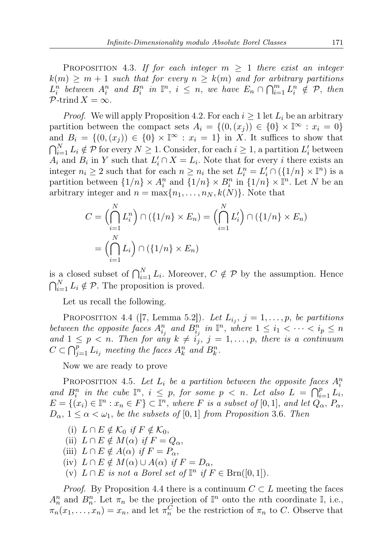PROPOSITION 4.3. If for each integer  $m \geq 1$  there exist an integer  $k(m) \geq m+1$  such that for every  $n \geq k(m)$  and for arbitrary partitions  $L_i^n$  between  $A_i^n$  and  $B_i^n$  in  $\mathbb{I}^n$ ,  $i \leq n$ , we have  $E_n \cap \bigcap_{i=1}^m L_i^n \notin \mathcal{P}$ , then  $\mathcal{P}$ -trind  $X = \infty$ .

*Proof.* We will apply Proposition 4.2. For each  $i \geq 1$  let  $L_i$  be an arbitrary partition between the compact sets  $A_i = \{(0, (x_j)) \in \{0\} \times \mathbb{I}^\infty : x_i = 0\}$ and  $B_i = \{(0, (x_i)) \in \{0\} \times \mathbb{I}^\infty : x_i = 1\}$  in X. It suffices to show that  $\bigcap_{i=1}^N L_i \notin \mathcal{P}$  for every  $N \geq 1$ . Consider, for each  $i \geq 1$ , a partition  $L'_i$  between  $A_i$  and  $B_i$  in Y such that  $L'_i \cap X = L_i$ . Note that for every i there exists an integer  $n_i \ge 2$  such that for each  $n \ge n_i$  the set  $L_i^n = L_i' \cap (\{1/n\} \times \mathbb{I}^n)$  is a partition between  $\{1/n\} \times A_i^n$  and  $\{1/n\} \times B_i^n$  in  $\{1/n\} \times \mathbb{I}^n$ . Let N be an arbitrary integer and  $n = \max\{n_1, \ldots, n_N, k(N)\}\.$  Note that

$$
C = \left(\bigcap_{i=1}^{N} L_i^n\right) \cap \left(\{1/n\} \times E_n\right) = \left(\bigcap_{i=1}^{N} L_i'\right) \cap \left(\{1/n\} \times E_n\right)
$$

$$
= \left(\bigcap_{i=1}^{N} L_i\right) \cap \left(\{1/n\} \times E_n\right)
$$

is a closed subset of  $\bigcap_{i=1}^N L_i$ . Moreover,  $C \notin \mathcal{P}$  by the assumption. Hence  $\bigcap_{i=1}^{N} L_i \notin \mathcal{P}$ . The proposition is proved.

Let us recall the following.

PROPOSITION 4.4 ([7, Lemma 5.2]). Let  $L_{i_j}$ ,  $j = 1, \ldots, p$ , be partitions between the opposite faces  $A_{i_j}^n$  and  $B_{i_j}^n$  in  $\mathbb{I}^n$ , where  $1 \leq i_1 < \cdots < i_p \leq n$ and  $1 \leq p \leq n$ . Then for any  $k \neq i<sub>j</sub>$ ,  $j = 1, \ldots, p$ , there is a continuum  $C \subset \bigcap_{j=1}^p L_{i_j}$  meeting the faces  $A_k^n$  and  $B_k^n$ .

Now we are ready to prove

PROPOSITION 4.5. Let  $L_i$  be a partition between the opposite faces  $A_i^n$ and  $B_i^n$  in the cube  $\mathbb{I}^n$ ,  $i \leq p$ , for some  $p < n$ . Let also  $L = \bigcap_{i=1}^p L_i$ ,  $E = \{(x_i) \in \mathbb{I}^n : x_n \in F\} \subset \mathbb{I}^n$ , where F is a subset of  $[0,1]$ , and let  $Q_\alpha, P_\alpha$ ,  $D_{\alpha}$ ,  $1 \leq \alpha < \omega_1$ , be the subsets of [0,1] from Proposition 3.6. Then

- (i)  $L \cap E \notin \mathcal{K}_0$  if  $F \notin \mathcal{K}_0$ ,
- (ii)  $L \cap E \notin M(\alpha)$  if  $F = Q_{\alpha}$ ,
- (iii)  $L \cap E \notin A(\alpha)$  if  $F = P_{\alpha}$ ,
- (iv)  $L \cap E \notin M(\alpha) \cup A(\alpha)$  if  $F = D_{\alpha}$ ,
- (v)  $L \cap E$  is not a Borel set of  $\mathbb{I}^n$  if  $F \in \text{Brn}([0,1])$ .

*Proof.* By Proposition 4.4 there is a continuum  $C \subset L$  meeting the faces  $A_n^n$  and  $B_n^n$ . Let  $\pi_n$  be the projection of  $\mathbb{I}^n$  onto the *n*th coordinate  $\mathbb{I}$ , i.e.,  $\pi_n(x_1,\ldots,x_n) = x_n$ , and let  $\pi_n^C$  be the restriction of  $\pi_n$  to C. Observe that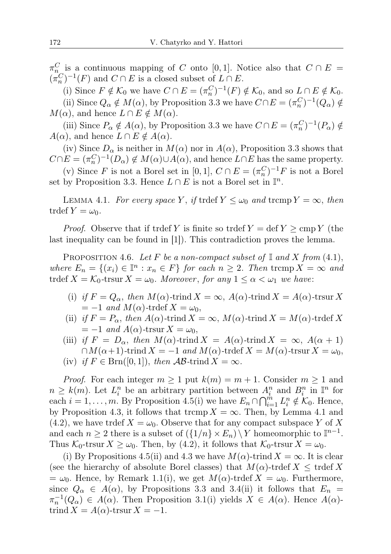$\pi_{n_\alpha}^C$  is a continuous mapping of C onto [0,1]. Notice also that  $C \cap E =$  $(\pi_n^C)^{-1}(F)$  and  $C \cap E$  is a closed subset of  $L \cap E$ .

(i) Since  $F \notin \mathcal{K}_0$  we have  $C \cap E = (\pi_n^C)^{-1}(F) \notin \mathcal{K}_0$ , and so  $L \cap E \notin \mathcal{K}_0$ .

(ii) Since  $Q_{\alpha} \notin M(\alpha)$ , by Proposition 3.3 we have  $C \cap E = (\pi_n^C)^{-1}(Q_{\alpha}) \notin$  $M(\alpha)$ , and hence  $L \cap E \notin M(\alpha)$ .

(iii) Since  $P_{\alpha} \notin A(\alpha)$ , by Proposition 3.3 we have  $C \cap E = (\pi_n^C)^{-1}(P_{\alpha}) \notin$  $A(\alpha)$ , and hence  $L \cap E \notin A(\alpha)$ .

(iv) Since  $D_{\alpha}$  is neither in  $M(\alpha)$  nor in  $A(\alpha)$ , Proposition 3.3 shows that  $C \cap E = (\pi_n^C)^{-1}(D_\alpha) \notin M(\alpha) \cup A(\alpha)$ , and hence  $L \cap E$  has the same property.

(v) Since F is not a Borel set in [0, 1],  $C \cap E = (\pi_n^C)^{-1}F$  is not a Borel set by Proposition 3.3. Hence  $L \cap E$  is not a Borel set in  $\mathbb{I}^n$ .

LEMMA 4.1. For every space Y, if trdef  $Y \leq \omega_0$  and tromp  $Y = \infty$ , then trdef  $Y = \omega_0$ .

*Proof.* Observe that if trdef Y is finite so trdef  $Y = \text{def } Y \ge \text{cmp } Y$  (the last inequality can be found in [1]). This contradiction proves the lemma.

PROPOSITION 4.6. Let F be a non-compact subset of  $\mathbb{I}$  and X from (4.1), where  $E_n = \{(x_i) \in \mathbb{I}^n : x_n \in F\}$  for each  $n \geq 2$ . Then tromp  $X = \infty$  and trdef  $X = \mathcal{K}_0$ -trsur  $X = \omega_0$ . Moreover, for any  $1 \leq \alpha < \omega_1$  we have:

- (i) if  $F = Q_{\alpha}$ , then  $M(\alpha)$ -trind  $X = \infty$ ,  $A(\alpha)$ -trind  $X = A(\alpha)$ -trsur X  $=-1$  and  $M(\alpha)$ -trdef  $X = \omega_0$ ,
- (ii) if  $F = P_{\alpha}$ , then  $A(\alpha)$ -trind  $X = \infty$ ,  $M(\alpha)$ -trind  $X = M(\alpha)$ -trdef X  $=-1$  and  $A(\alpha)$ -trsur  $X = \omega_0$ ,
- (iii) if  $F = D_{\alpha}$ , then  $M(\alpha)$ -trind  $X = A(\alpha)$ -trind  $X = \infty$ ,  $A(\alpha + 1)$  $\cap M(\alpha+1)$ -trind  $X = -1$  and  $M(\alpha)$ -trdef  $X = M(\alpha)$ -trsur  $X = \omega_0$ ,
- (iv) if  $F \in \text{Brn}([0,1])$ , then  $\mathcal{AB}$ -trind  $X = \infty$ .

*Proof.* For each integer  $m \ge 1$  put  $k(m) = m + 1$ . Consider  $m \ge 1$  and  $n \geq k(m)$ . Let  $L_i^n$  be an arbitrary partition between  $A_i^n$  and  $B_i^n$  in  $\mathbb{I}^n$  for each  $i = 1, \ldots, m$ . By Proposition 4.5(i) we have  $E_n \cap \bigcap_{i=1}^m L_i^n \notin \mathcal{K}_0$ . Hence, by Proposition 4.3, it follows that trcmp  $X = \infty$ . Then, by Lemma 4.1 and  $(4.2)$ , we have trdef  $X = \omega_0$ . Observe that for any compact subspace Y of X and each  $n \geq 2$  there is a subset of  $(\{1/n\} \times E_n) \setminus Y$  homeomorphic to  $\mathbb{I}^{n-1}$ . Thus  $\mathcal{K}_0$ -trsur  $X \geq \omega_0$ . Then, by (4.2), it follows that  $\mathcal{K}_0$ -trsur  $X = \omega_0$ .

(i) By Propositions 4.5(ii) and 4.3 we have  $M(\alpha)$ -trind  $X = \infty$ . It is clear (see the hierarchy of absolute Borel classes) that  $M(\alpha)$ -trdef  $X \leq \text{trdef } X$  $=\omega_0$ . Hence, by Remark 1.1(i), we get  $M(\alpha)$ -trdef  $X = \omega_0$ . Furthermore, since  $Q_{\alpha} \in A(\alpha)$ , by Propositions 3.3 and 3.4(ii) it follows that  $E_n =$  $\pi_n^{-1}(Q_\alpha) \in A(\alpha)$ . Then Proposition 3.1(i) yields  $X \in A(\alpha)$ . Hence  $A(\alpha)$ trind  $X = A(\alpha)$ -trsur  $X = -1$ .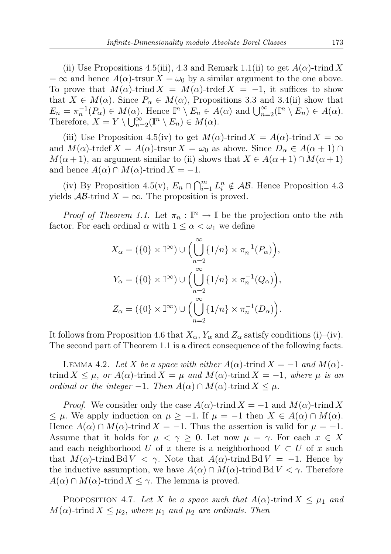(ii) Use Propositions 4.5(iii), 4.3 and Remark 1.1(ii) to get  $A(\alpha)$ -trind X  $=\infty$  and hence  $A(\alpha)$ -trsur  $X = \omega_0$  by a similar argument to the one above. To prove that  $M(\alpha)$ -trind  $X = M(\alpha)$ -trdef  $X = -1$ , it suffices to show that  $X \in M(\alpha)$ . Since  $P_{\alpha} \in M(\alpha)$ , Propositions 3.3 and 3.4(ii) show that  $E_n = \pi_n^{-1}(P_\alpha) \in M(\alpha)$ . Hence  $\mathbb{I}^n \setminus E_n \in A(\alpha)$  and  $\bigcup_{n=2}^{\infty} (\mathbb{I}^n \setminus E_n) \in A(\alpha)$ . Therefore,  $X = Y \setminus \bigcup_{n=2}^{\infty} (\mathbb{I}^n \setminus E_n) \in M(\alpha)$ .

(iii) Use Proposition 4.5(iv) to get  $M(\alpha)$ -trind  $X = A(\alpha)$ -trind  $X = \infty$ and  $M(\alpha)$ -trdef  $X = A(\alpha)$ -trsur  $X = \omega_0$  as above. Since  $D_\alpha \in A(\alpha + 1) \cap$  $M(\alpha+1)$ , an argument similar to (ii) shows that  $X \in A(\alpha+1) \cap M(\alpha+1)$ and hence  $A(\alpha) \cap M(\alpha)$ -trind  $X = -1$ .

(iv) By Proposition 4.5(v),  $E_n \cap \bigcap_{i=1}^m L_i^n \notin AB$ . Hence Proposition 4.3 yields  $\mathcal{AB}$ -trind  $X = \infty$ . The proposition is proved.

*Proof of Theorem 1.1.* Let  $\pi_n : \mathbb{I}^n \to \mathbb{I}$  be the projection onto the *nth* factor. For each ordinal  $\alpha$  with  $1 \leq \alpha < \omega_1$  we define

$$
X_{\alpha} = (\{0\} \times \mathbb{I}^{\infty}) \cup \Big(\bigcup_{n=2}^{\infty} \{1/n\} \times \pi_n^{-1}(P_{\alpha})\Big),
$$
  

$$
Y_{\alpha} = (\{0\} \times \mathbb{I}^{\infty}) \cup \Big(\bigcup_{n=2}^{\infty} \{1/n\} \times \pi_n^{-1}(Q_{\alpha})\Big),
$$
  

$$
Z_{\alpha} = (\{0\} \times \mathbb{I}^{\infty}) \cup \Big(\bigcup_{n=2}^{\infty} \{1/n\} \times \pi_n^{-1}(D_{\alpha})\Big).
$$

It follows from Proposition 4.6 that  $X_{\alpha}$ ,  $Y_{\alpha}$  and  $Z_{\alpha}$  satisfy conditions (i)–(iv). The second part of Theorem 1.1 is a direct consequence of the following facts.

LEMMA 4.2. Let X be a space with either  $A(\alpha)$ -trind  $X = -1$  and  $M(\alpha)$ trind  $X \leq \mu$ , or  $A(\alpha)$ -trind  $X = \mu$  and  $M(\alpha)$ -trind  $X = -1$ , where  $\mu$  is an ordinal or the integer  $-1$ . Then  $A(\alpha) \cap M(\alpha)$ -trind  $X \leq \mu$ .

*Proof.* We consider only the case  $A(\alpha)$ -trind  $X = -1$  and  $M(\alpha)$ -trind X  $\leq$  μ. We apply induction on  $\mu$  ≥ −1. If  $\mu$  = −1 then  $X \in A(\alpha) \cap M(\alpha)$ . Hence  $A(\alpha) \cap M(\alpha)$ -trind  $X = -1$ . Thus the assertion is valid for  $\mu = -1$ . Assume that it holds for  $\mu < \gamma \geq 0$ . Let now  $\mu = \gamma$ . For each  $x \in X$ and each neighborhood U of x there is a neighborhood  $V \subset U$  of x such that  $M(\alpha)$ -trind Bd  $V < \gamma$ . Note that  $A(\alpha)$ -trind Bd  $V = -1$ . Hence by the inductive assumption, we have  $A(\alpha) \cap M(\alpha)$ -trind Bd  $V < \gamma$ . Therefore  $A(\alpha) \cap M(\alpha)$ -trind  $X \leq \gamma$ . The lemma is proved.

PROPOSITION 4.7. Let X be a space such that  $A(\alpha)$ -trind  $X \leq \mu_1$  and  $M(\alpha)$ -trind  $X \leq \mu_2$ , where  $\mu_1$  and  $\mu_2$  are ordinals. Then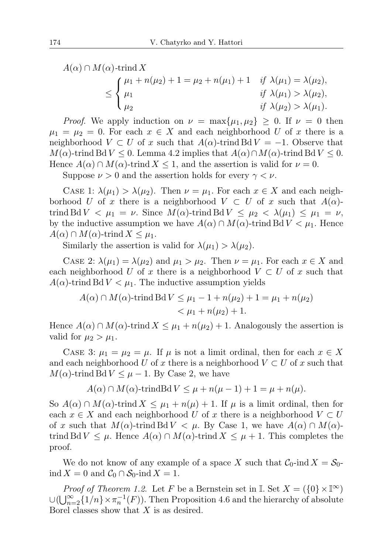$A(\alpha) \cap M(\alpha)$ -trind X ≤  $\sqrt{ }$  $\int$  $\mathcal{L}$  $\mu_1 + n(\mu_2) + 1 = \mu_2 + n(\mu_1) + 1$  if  $\lambda(\mu_1) = \lambda(\mu_2)$ ,  $\mu_1$  if  $\lambda(\mu_1) > \lambda(\mu_2),$  $\mu_2$  if  $\lambda(\mu_2) > \lambda(\mu_1)$ .

*Proof.* We apply induction on  $\nu = \max{\mu_1, \mu_2} \geq 0$ . If  $\nu = 0$  then  $\mu_1 = \mu_2 = 0$ . For each  $x \in X$  and each neighborhood U of x there is a neighborhood  $V \subset U$  of x such that  $A(\alpha)$ -trind Bd  $V = -1$ . Observe that  $M(\alpha)$ -trind Bd  $V \leq 0$ . Lemma 4.2 implies that  $A(\alpha) \cap M(\alpha)$ -trind Bd  $V \leq 0$ . Hence  $A(\alpha) \cap M(\alpha)$ -trind  $X \leq 1$ , and the assertion is valid for  $\nu = 0$ .

Suppose  $\nu > 0$  and the assertion holds for every  $\gamma < \nu$ .

CASE 1:  $\lambda(\mu_1) > \lambda(\mu_2)$ . Then  $\nu = \mu_1$ . For each  $x \in X$  and each neighborhood U of x there is a neighborhood  $V \subset U$  of x such that  $A(\alpha)$ trind Bd  $V < \mu_1 = \nu$ . Since  $M(\alpha)$ -trind Bd  $V \leq \mu_2 < \lambda(\mu_1) \leq \mu_1 = \nu$ , by the inductive assumption we have  $A(\alpha) \cap M(\alpha)$ -trind Bd  $V < \mu_1$ . Hence  $A(\alpha) \cap M(\alpha)$ -trind  $X \leq \mu_1$ .

Similarly the assertion is valid for  $\lambda(\mu_1) > \lambda(\mu_2)$ .

CASE 2:  $\lambda(\mu_1) = \lambda(\mu_2)$  and  $\mu_1 > \mu_2$ . Then  $\nu = \mu_1$ . For each  $x \in X$  and each neighborhood U of x there is a neighborhood  $V \subset U$  of x such that  $A(\alpha)$ -trind Bd  $V < \mu_1$ . The inductive assumption yields

$$
A(\alpha) \cap M(\alpha)\text{-trind}\,\text{Bd}\,V \le \mu_1 - 1 + n(\mu_2) + 1 = \mu_1 + n(\mu_2)
$$
  

$$
< \mu_1 + n(\mu_2) + 1.
$$

Hence  $A(\alpha) \cap M(\alpha)$ -trind  $X \leq \mu_1 + n(\mu_2) + 1$ . Analogously the assertion is valid for  $\mu_2 > \mu_1$ .

CASE 3:  $\mu_1 = \mu_2 = \mu$ . If  $\mu$  is not a limit ordinal, then for each  $x \in X$ and each neighborhood U of x there is a neighborhood  $V \subset U$  of x such that  $M(\alpha)$ -trind Bd  $V \leq \mu - 1$ . By Case 2, we have

$$
A(\alpha) \cap M(\alpha) \text{-trindBd } V \le \mu + n(\mu - 1) + 1 = \mu + n(\mu).
$$

So  $A(\alpha) \cap M(\alpha)$ -trind  $X \leq \mu_1 + n(\mu) + 1$ . If  $\mu$  is a limit ordinal, then for each  $x \in X$  and each neighborhood U of x there is a neighborhood  $V \subset U$ of x such that  $M(\alpha)$ -trind Bd  $V < \mu$ . By Case 1, we have  $A(\alpha) \cap M(\alpha)$ trind Bd  $V \leq \mu$ . Hence  $A(\alpha) \cap M(\alpha)$ -trind  $X \leq \mu + 1$ . This completes the proof.

We do not know of any example of a space X such that  $C_0$ -ind  $X = S_0$ ind  $X = 0$  and  $C_0 \cap S_0$ -ind  $X = 1$ .

*Proof of Theorem 1.2.* Let F be a Bernstein set in I. Set  $X = (\{0\} \times \mathbb{I}^{\infty})$  $\cup (\bigcup_{n=2}^{\infty} \{1/n\} \times \pi_n^{-1}(F)).$  Then Proposition 4.6 and the hierarchy of absolute Borel classes show that  $X$  is as desired.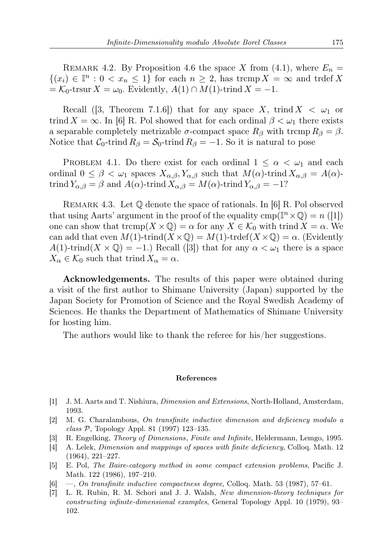REMARK 4.2. By Proposition 4.6 the space X from (4.1), where  $E_n =$  $\{(x_i) \in \mathbb{I}^n : 0 < x_n \leq 1\}$  for each  $n \geq 2$ , has tromp  $X = \infty$  and trdef X  $=\mathcal{K}_0$ -trsur  $X = \omega_0$ . Evidently,  $A(1) \cap M(1)$ -trind  $X = -1$ .

Recall ([3, Theorem 7.1.6]) that for any space X, trind  $X < \omega_1$  or trind  $X = \infty$ . In [6] R. Pol showed that for each ordinal  $\beta < \omega_1$  there exists a separable completely metrizable  $\sigma$ -compact space  $R_\beta$  with trcmp  $R_\beta = \beta$ . Notice that  $C_0$ -trind  $R_\beta = S_0$ -trind  $R_\beta = -1$ . So it is natural to pose

PROBLEM 4.1. Do there exist for each ordinal  $1 \leq \alpha < \omega_1$  and each ordinal  $0 \leq \beta < \omega_1$  spaces  $X_{\alpha,\beta}$ ,  $Y_{\alpha,\beta}$  such that  $M(\alpha)$ -trind  $X_{\alpha,\beta} = A(\alpha)$ trind  $Y_{\alpha,\beta} = \beta$  and  $A(\alpha)$ -trind  $X_{\alpha,\beta} = M(\alpha)$ -trind  $Y_{\alpha,\beta} = -1$ ?

Remark 4.3. Let Q denote the space of rationals. In [6] R. Pol observed that using Aarts' argument in the proof of the equality  $\text{cmp}(\mathbb{I}^n \times \mathbb{Q}) = n \cdot (1)$ one can show that  $\operatorname{tremp}(X \times \mathbb{Q}) = \alpha$  for any  $X \in \mathcal{K}_0$  with trind  $X = \alpha$ . We can add that even  $M(1)$ -trind $(X \times \mathbb{Q}) = M(1)$ -trdef $(X \times \mathbb{Q}) = \alpha$ . (Evidently  $A(1)$ -trind $(X \times \mathbb{Q}) = -1$ .) Recall ([3]) that for any  $\alpha < \omega_1$  there is a space  $X_{\alpha} \in \mathcal{K}_0$  such that trind  $X_{\alpha} = \alpha$ .

Acknowledgements. The results of this paper were obtained during a visit of the first author to Shimane University (Japan) supported by the Japan Society for Promotion of Science and the Royal Swedish Academy of Sciences. He thanks the Department of Mathematics of Shimane University for hosting him.

The authors would like to thank the referee for his/her suggestions.

## References

- [1] J. M. Aarts and T. Nishiura, Dimension and Extensions, North-Holland, Amsterdam, 1993.
- [2] M. G. Charalambous, On transfinite inductive dimension and deficiency modulo a class  $P$ , Topology Appl. 81 (1997) 123–135.
- [3] R. Engelking, Theory of Dimensions, Finite and Infinite, Heldermann, Lemgo, 1995.
- [4] A. Lelek, Dimension and mappings of spaces with finite deficiency, Colloq. Math. 12 (1964), 221–227.
- [5] E. Pol, The Baire-category method in some compact extension problems, Pacific J. Math. 122 (1986), 197–210.
- [6] —, On transfinite inductive compactness degree, Colloq. Math. 53 (1987), 57–61.
- [7] L. R. Rubin, R. M. Schori and J. J. Walsh, New dimension-theory techniques for constructing infinite-dimensional examples, General Topology Appl. 10 (1979), 93– 102.